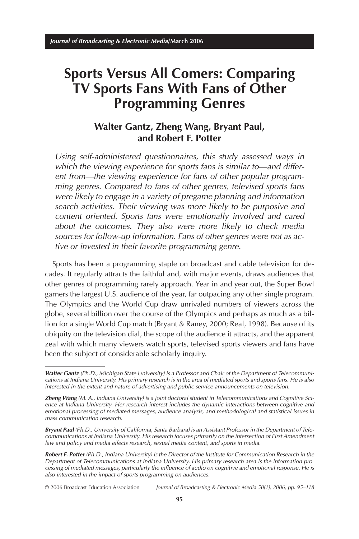# **Sports Versus All Comers: Comparing TV Sports Fans With Fans of Other Programming Genres**

# **Walter Gantz, Zheng Wang, Bryant Paul, and Robert F. Potter**

Using self-administered questionnaires, this study assessed ways in which the viewing experience for sports fans is similar to—and different from—the viewing experience for fans of other popular programming genres. Compared to fans of other genres, televised sports fans were likely to engage in <sup>a</sup> variety of pregame planning and information search activities. Their viewing was more likely to be purposive and content oriented. Sports fans were emotionally involved and cared about the outcomes. They also were more likely to check media sources for follow-up information. Fans of other genres were not as active or invested in their favorite programming genre.

Sports has been a programming staple on broadcast and cable television for decades. It regularly attracts the faithful and, with major events, draws audiences that other genres of programming rarely approach. Year in and year out, the Super Bowl garners the largest U.S. audience of the year, far outpacing any other single program. The Olympics and the World Cup draw unrivaled numbers of viewers across the globe, several billion over the course of the Olympics and perhaps as much as a billion for a single World Cup match (Bryant & Raney, 2000; Real, 1998). Because of its ubiquity on the television dial, the scope of the audience it attracts, and the apparent zeal with which many viewers watch sports, televised sports viewers and fans have been the subject of considerable scholarly inquiry.

© 2006 Broadcast Education Association Journal of Broadcasting & Electronic Media 50(1), 2006, pp. 95–118

**Walter Gantz** (Ph.D., Michigan State University) is <sup>a</sup> Professor and Chair of the Department of Telecommunications at Indiana University. His primary research is in the area of mediated sports and sports fans. He is also interested in the extent and nature of advertising and public service announcements on television.

**Zheng Wang** (M. A., Indiana University) is <sup>a</sup> joint doctoral student in Telecommunications and Cognitive Science at Indiana University. Her research interest includes the dynamic interactions between cognitive and emotional processing of mediated messages, audience analysis, and methodological and statistical issues in mass communication research.

**Bryant Paul** (Ph.D., University of California, Santa Barbara) is an Assistant Professor in the Department of Telecommunications at Indiana University. His research focuses primarily on the intersection of First Amendment law and policy and media effects research, sexual media content, and sports in media.

**Robert F. Potter** (Ph.D., Indiana University) is the Director of the Institute for Communication Research in the Department of Telecommunications at Indiana University. His primary research area is the information processing of mediated messages, particularly the influence of audio on cognitive and emotional response. He is also interested in the impact of sports programming on audiences.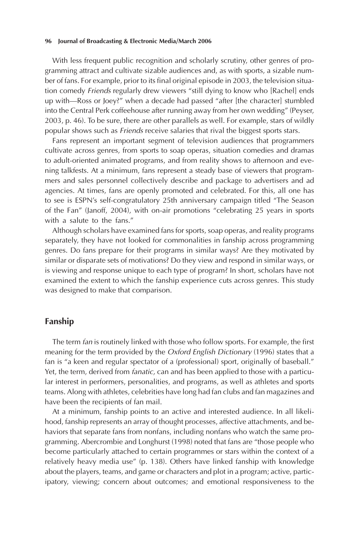With less frequent public recognition and scholarly scrutiny, other genres of programming attract and cultivate sizable audiences and, as with sports, a sizable number of fans. For example, prior to its final original episode in 2003, the television situation comedy Friends regularly drew viewers "still dying to know who [Rachel] ends up with—Ross or Joey?" when a decade had passed "after [the character] stumbled into the Central Perk coffeehouse after running away from her own wedding" (Peyser, 2003, p. 46). To be sure, there are other parallels as well. For example, stars of wildly popular shows such as Friends receive salaries that rival the biggest sports stars.

Fans represent an important segment of television audiences that programmers cultivate across genres, from sports to soap operas, situation comedies and dramas to adult-oriented animated programs, and from reality shows to afternoon and evening talkfests. At a minimum, fans represent a steady base of viewers that programmers and sales personnel collectively describe and package to advertisers and ad agencies. At times, fans are openly promoted and celebrated. For this, all one has to see is ESPN's self-congratulatory 25th anniversary campaign titled "The Season of the Fan" (Janoff, 2004), with on-air promotions "celebrating 25 years in sports with a salute to the fans."

Although scholars have examined fans for sports, soap operas, and reality programs separately, they have not looked for commonalities in fanship across programming genres. Do fans prepare for their programs in similar ways? Are they motivated by similar or disparate sets of motivations? Do they view and respond in similar ways, or is viewing and response unique to each type of program? In short, scholars have not examined the extent to which the fanship experience cuts across genres. This study was designed to make that comparison.

# **Fanship**

The term fan is routinely linked with those who follow sports. For example, the first meaning for the term provided by the Oxford English Dictionary (1996) states that a fan is "a keen and regular spectator of a (professional) sport, originally of baseball." Yet, the term, derived from fanatic, can and has been applied to those with a particular interest in performers, personalities, and programs, as well as athletes and sports teams. Along with athletes, celebrities have long had fan clubs and fan magazines and have been the recipients of fan mail.

At a minimum, fanship points to an active and interested audience. In all likelihood, fanship represents an array of thought processes, affective attachments, and behaviors that separate fans from nonfans, including nonfans who watch the same programming. Abercrombie and Longhurst (1998) noted that fans are "those people who become particularly attached to certain programmes or stars within the context of a relatively heavy media use" (p. 138). Others have linked fanship with knowledge about the players, teams, and game or characters and plot in a program; active, participatory, viewing; concern about outcomes; and emotional responsiveness to the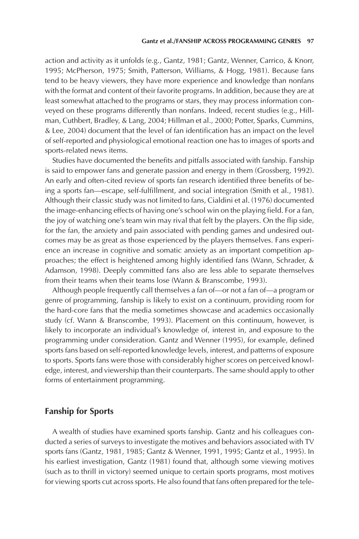action and activity as it unfolds (e.g., Gantz, 1981; Gantz, Wenner, Carrico, & Knorr, 1995; McPherson, 1975; Smith, Patterson, Williams, & Hogg, 1981). Because fans tend to be heavy viewers, they have more experience and knowledge than nonfans with the format and content of their favorite programs. In addition, because they are at least somewhat attached to the programs or stars, they may process information conveyed on these programs differently than nonfans. Indeed, recent studies (e.g., Hillman, Cuthbert, Bradley, & Lang, 2004; Hillman et al., 2000; Potter, Sparks, Cummins, & Lee, 2004) document that the level of fan identification has an impact on the level of self-reported and physiological emotional reaction one has to images of sports and sports-related news items.

Studies have documented the benefits and pitfalls associated with fanship. Fanship is said to empower fans and generate passion and energy in them (Grossberg, 1992). An early and often-cited review of sports fan research identified three benefits of being a sports fan—escape, self-fulfillment, and social integration (Smith et al., 1981). Although their classic study was not limited to fans, Cialdini et al. (1976) documented the image-enhancing effects of having one's school win on the playing field. For a fan, the joy of watching one's team win may rival that felt by the players. On the flip side, for the fan, the anxiety and pain associated with pending games and undesired outcomes may be as great as those experienced by the players themselves. Fans experience an increase in cognitive and somatic anxiety as an important competition approaches; the effect is heightened among highly identified fans (Wann, Schrader, & Adamson, 1998). Deeply committed fans also are less able to separate themselves from their teams when their teams lose (Wann & Branscombe, 1993).

Although people frequently call themselves a fan of—or not a fan of—a program or genre of programming, fanship is likely to exist on a continuum, providing room for the hard-core fans that the media sometimes showcase and academics occasionally study (cf. Wann & Branscombe, 1993). Placement on this continuum, however, is likely to incorporate an individual's knowledge of, interest in, and exposure to the programming under consideration. Gantz and Wenner (1995), for example, defined sports fans based on self-reported knowledge levels, interest, and patterns of exposure to sports. Sports fans were those with considerably higher scores on perceived knowledge, interest, and viewership than their counterparts. The same should apply to other forms of entertainment programming.

### **Fanship for Sports**

A wealth of studies have examined sports fanship. Gantz and his colleagues conducted a series of surveys to investigate the motives and behaviors associated with TV sports fans (Gantz, 1981, 1985; Gantz & Wenner, 1991, 1995; Gantz et al., 1995). In his earliest investigation, Gantz (1981) found that, although some viewing motives (such as to thrill in victory) seemed unique to certain sports programs, most motives for viewing sports cut across sports. He also found that fans often prepared for the tele-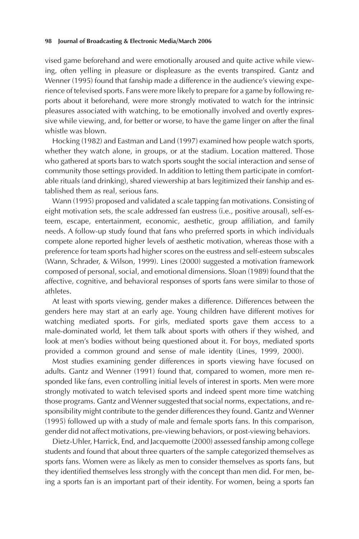vised game beforehand and were emotionally aroused and quite active while viewing, often yelling in pleasure or displeasure as the events transpired. Gantz and Wenner (1995) found that fanship made a difference in the audience's viewing experience of televised sports. Fans were more likely to prepare for a game by following reports about it beforehand, were more strongly motivated to watch for the intrinsic pleasures associated with watching, to be emotionally involved and overtly expressive while viewing, and, for better or worse, to have the game linger on after the final whistle was blown.

Hocking (1982) and Eastman and Land (1997) examined how people watch sports, whether they watch alone, in groups, or at the stadium. Location mattered. Those who gathered at sports bars to watch sports sought the social interaction and sense of community those settings provided. In addition to letting them participate in comfortable rituals (and drinking), shared viewership at bars legitimized their fanship and established them as real, serious fans.

Wann (1995) proposed and validated a scale tapping fan motivations. Consisting of eight motivation sets, the scale addressed fan eustress (i.e., positive arousal), self-esteem, escape, entertainment, economic, aesthetic, group affiliation, and family needs. A follow-up study found that fans who preferred sports in which individuals compete alone reported higher levels of aesthetic motivation, whereas those with a preference for team sports had higher scores on the eustress and self-esteem subscales (Wann, Schrader, & Wilson, 1999). Lines (2000) suggested a motivation framework composed of personal, social, and emotional dimensions. Sloan (1989) found that the affective, cognitive, and behavioral responses of sports fans were similar to those of athletes.

At least with sports viewing, gender makes a difference. Differences between the genders here may start at an early age. Young children have different motives for watching mediated sports. For girls, mediated sports gave them access to a male-dominated world, let them talk about sports with others if they wished, and look at men's bodies without being questioned about it. For boys, mediated sports provided a common ground and sense of male identity (Lines, 1999, 2000).

Most studies examining gender differences in sports viewing have focused on adults. Gantz and Wenner (1991) found that, compared to women, more men responded like fans, even controlling initial levels of interest in sports. Men were more strongly motivated to watch televised sports and indeed spent more time watching those programs. Gantz and Wenner suggested that social norms, expectations, and responsibility might contribute to the gender differences they found. Gantz and Wenner (1995) followed up with a study of male and female sports fans. In this comparison, gender did not affect motivations, pre-viewing behaviors, or post-viewing behaviors.

Dietz-Uhler, Harrick, End, and Jacquemotte (2000) assessed fanship among college students and found that about three quarters of the sample categorized themselves as sports fans. Women were as likely as men to consider themselves as sports fans, but they identified themselves less strongly with the concept than men did. For men, being a sports fan is an important part of their identity. For women, being a sports fan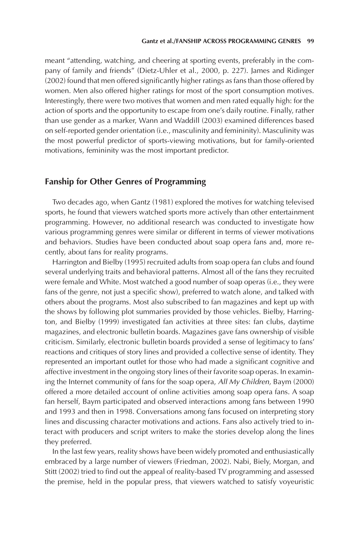meant "attending, watching, and cheering at sporting events, preferably in the company of family and friends" (Dietz-Uhler et al., 2000, p. 227). James and Ridinger (2002) found that men offered significantly higher ratings as fans than those offered by women. Men also offered higher ratings for most of the sport consumption motives. Interestingly, there were two motives that women and men rated equally high: for the action of sports and the opportunity to escape from one's daily routine. Finally, rather than use gender as a marker, Wann and Waddill (2003) examined differences based on self-reported gender orientation (i.e., masculinity and femininity). Masculinity was the most powerful predictor of sports-viewing motivations, but for family-oriented motivations, femininity was the most important predictor.

# **Fanship for Other Genres of Programming**

Two decades ago, when Gantz (1981) explored the motives for watching televised sports, he found that viewers watched sports more actively than other entertainment programming. However, no additional research was conducted to investigate how various programming genres were similar or different in terms of viewer motivations and behaviors. Studies have been conducted about soap opera fans and, more recently, about fans for reality programs.

Harrington and Bielby (1995) recruited adults from soap opera fan clubs and found several underlying traits and behavioral patterns. Almost all of the fans they recruited were female and White. Most watched a good number of soap operas (i.e., they were fans of the genre, not just a specific show), preferred to watch alone, and talked with others about the programs. Most also subscribed to fan magazines and kept up with the shows by following plot summaries provided by those vehicles. Bielby, Harrington, and Bielby (1999) investigated fan activities at three sites: fan clubs, daytime magazines, and electronic bulletin boards. Magazines gave fans ownership of visible criticism. Similarly, electronic bulletin boards provided a sense of legitimacy to fans' reactions and critiques of story lines and provided a collective sense of identity. They represented an important outlet for those who had made a significant cognitive and affective investment in the ongoing story lines of their favorite soap operas. In examining the Internet community of fans for the soap opera, All My Children, Baym (2000) offered a more detailed account of online activities among soap opera fans. A soap fan herself, Baym participated and observed interactions among fans between 1990 and 1993 and then in 1998. Conversations among fans focused on interpreting story lines and discussing character motivations and actions. Fans also actively tried to interact with producers and script writers to make the stories develop along the lines they preferred.

In the last few years, reality shows have been widely promoted and enthusiastically embraced by a large number of viewers (Friedman, 2002). Nabi, Biely, Morgan, and Stitt (2002) tried to find out the appeal of reality-based TV programming and assessed the premise, held in the popular press, that viewers watched to satisfy voyeuristic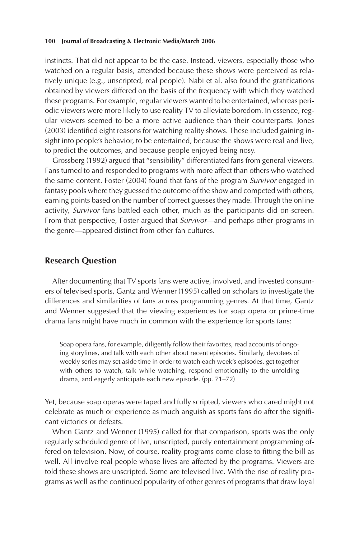instincts. That did not appear to be the case. Instead, viewers, especially those who watched on a regular basis, attended because these shows were perceived as relatively unique (e.g., unscripted, real people). Nabi et al. also found the gratifications obtained by viewers differed on the basis of the frequency with which they watched these programs. For example, regular viewers wanted to be entertained, whereas periodic viewers were more likely to use reality TV to alleviate boredom. In essence, regular viewers seemed to be a more active audience than their counterparts. Jones (2003) identified eight reasons for watching reality shows. These included gaining insight into people's behavior, to be entertained, because the shows were real and live, to predict the outcomes, and because people enjoyed being nosy.

Grossberg (1992) argued that "sensibility" differentiated fans from general viewers. Fans turned to and responded to programs with more affect than others who watched the same content. Foster (2004) found that fans of the program Survivor engaged in fantasy pools where they guessed the outcome of the show and competed with others, earning points based on the number of correct guesses they made. Through the online activity, Survivor fans battled each other, much as the participants did on-screen. From that perspective, Foster argued that *Survivor*—and perhaps other programs in the genre—appeared distinct from other fan cultures.

### **Research Question**

After documenting that TV sports fans were active, involved, and invested consumers of televised sports, Gantz and Wenner (1995) called on scholars to investigate the differences and similarities of fans across programming genres. At that time, Gantz and Wenner suggested that the viewing experiences for soap opera or prime-time drama fans might have much in common with the experience for sports fans:

Soap opera fans, for example, diligently follow their favorites, read accounts of ongoing storylines, and talk with each other about recent episodes. Similarly, devotees of weekly series may set aside time in order to watch each week's episodes, get together with others to watch, talk while watching, respond emotionally to the unfolding drama, and eagerly anticipate each new episode. (pp. 71–72)

Yet, because soap operas were taped and fully scripted, viewers who cared might not celebrate as much or experience as much anguish as sports fans do after the significant victories or defeats.

When Gantz and Wenner (1995) called for that comparison, sports was the only regularly scheduled genre of live, unscripted, purely entertainment programming offered on television. Now, of course, reality programs come close to fitting the bill as well. All involve real people whose lives are affected by the programs. Viewers are told these shows are unscripted. Some are televised live. With the rise of reality programs as well as the continued popularity of other genres of programs that draw loyal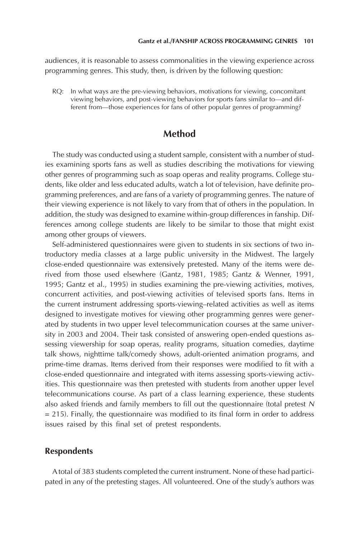audiences, it is reasonable to assess commonalities in the viewing experience across programming genres. This study, then, is driven by the following question:

RQ: In what ways are the pre-viewing behaviors, motivations for viewing, concomitant viewing behaviors, and post-viewing behaviors for sports fans similar to—and different from—those experiences for fans of other popular genres of programming?

# **Method**

The study was conducted using a student sample, consistent with a number of studies examining sports fans as well as studies describing the motivations for viewing other genres of programming such as soap operas and reality programs. College students, like older and less educated adults, watch a lot of television, have definite programming preferences, and are fans of a variety of programming genres. The nature of their viewing experience is not likely to vary from that of others in the population. In addition, the study was designed to examine within-group differences in fanship. Differences among college students are likely to be similar to those that might exist among other groups of viewers.

Self-administered questionnaires were given to students in six sections of two introductory media classes at a large public university in the Midwest. The largely close-ended questionnaire was extensively pretested. Many of the items were derived from those used elsewhere (Gantz, 1981, 1985; Gantz & Wenner, 1991, 1995; Gantz et al., 1995) in studies examining the pre-viewing activities, motives, concurrent activities, and post-viewing activities of televised sports fans. Items in the current instrument addressing sports-viewing–related activities as well as items designed to investigate motives for viewing other programming genres were generated by students in two upper level telecommunication courses at the same university in 2003 and 2004. Their task consisted of answering open-ended questions assessing viewership for soap operas, reality programs, situation comedies, daytime talk shows, nighttime talk/comedy shows, adult-oriented animation programs, and prime-time dramas. Items derived from their responses were modified to fit with a close-ended questionnaire and integrated with items assessing sports-viewing activities. This questionnaire was then pretested with students from another upper level telecommunications course. As part of a class learning experience, these students also asked friends and family members to fill out the questionnaire (total pretest <sup>N</sup> = 215). Finally, the questionnaire was modified to its final form in order to address issues raised by this final set of pretest respondents.

# **Respondents**

A total of 383 students completed the current instrument. None of these had participated in any of the pretesting stages. All volunteered. One of the study's authors was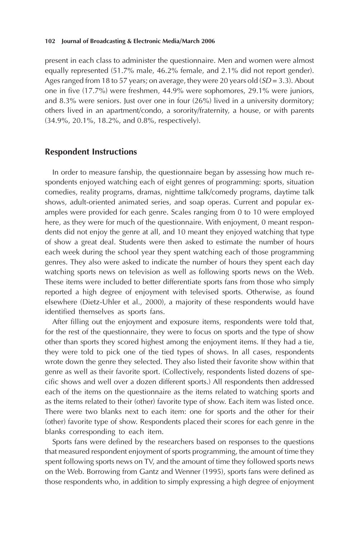present in each class to administer the questionnaire. Men and women were almost equally represented (51.7% male, 46.2% female, and 2.1% did not report gender). Ages ranged from 18 to 57 years; on average, they were 20 years old  $(SD = 3.3)$ . About one in five (17.7%) were freshmen, 44.9% were sophomores, 29.1% were juniors, and 8.3% were seniors. Just over one in four (26%) lived in a university dormitory; others lived in an apartment/condo, a sorority/fraternity, a house, or with parents (34.9%, 20.1%, 18.2%, and 0.8%, respectively).

# **Respondent Instructions**

In order to measure fanship, the questionnaire began by assessing how much respondents enjoyed watching each of eight genres of programming: sports, situation comedies, reality programs, dramas, nighttime talk/comedy programs, daytime talk shows, adult-oriented animated series, and soap operas. Current and popular examples were provided for each genre. Scales ranging from 0 to 10 were employed here, as they were for much of the questionnaire. With enjoyment, 0 meant respondents did not enjoy the genre at all, and 10 meant they enjoyed watching that type of show a great deal. Students were then asked to estimate the number of hours each week during the school year they spent watching each of those programming genres. They also were asked to indicate the number of hours they spent each day watching sports news on television as well as following sports news on the Web. These items were included to better differentiate sports fans from those who simply reported a high degree of enjoyment with televised sports. Otherwise, as found elsewhere (Dietz-Uhler et al., 2000), a majority of these respondents would have identified themselves as sports fans.

After filling out the enjoyment and exposure items, respondents were told that, for the rest of the questionnaire, they were to focus on sports and the type of show other than sports they scored highest among the enjoyment items. If they had a tie, they were told to pick one of the tied types of shows. In all cases, respondents wrote down the genre they selected. They also listed their favorite show within that genre as well as their favorite sport. (Collectively, respondents listed dozens of specific shows and well over a dozen different sports.) All respondents then addressed each of the items on the questionnaire as the items related to watching sports and as the items related to their (other) favorite type of show. Each item was listed once. There were two blanks next to each item: one for sports and the other for their (other) favorite type of show. Respondents placed their scores for each genre in the blanks corresponding to each item.

Sports fans were defined by the researchers based on responses to the questions that measured respondent enjoyment of sports programming, the amount of time they spent following sports news on TV, and the amount of time they followed sports news on the Web. Borrowing from Gantz and Wenner (1995), sports fans were defined as those respondents who, in addition to simply expressing a high degree of enjoyment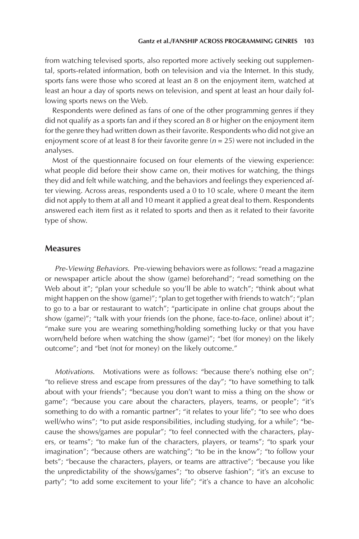from watching televised sports, also reported more actively seeking out supplemental, sports-related information, both on television and via the Internet. In this study, sports fans were those who scored at least an 8 on the enjoyment item, watched at least an hour a day of sports news on television, and spent at least an hour daily following sports news on the Web.

Respondents were defined as fans of one of the other programming genres if they did not qualify as a sports fan and if they scored an 8 or higher on the enjoyment item for the genre they had written down as their favorite. Respondents who did not give an enjoyment score of at least 8 for their favorite genre ( $n = 25$ ) were not included in the analyses.

Most of the questionnaire focused on four elements of the viewing experience: what people did before their show came on, their motives for watching, the things they did and felt while watching, and the behaviors and feelings they experienced after viewing. Across areas, respondents used a 0 to 10 scale, where 0 meant the item did not apply to them at all and 10 meant it applied a great deal to them. Respondents answered each item first as it related to sports and then as it related to their favorite type of show.

### **Measures**

Pre-Viewing Behaviors. Pre-viewing behaviors were as follows: "read a magazine or newspaper article about the show (game) beforehand"; "read something on the Web about it"; "plan your schedule so you'll be able to watch"; "think about what might happen on the show (game)"; "plan to get together with friends to watch"; "plan to go to a bar or restaurant to watch"; "participate in online chat groups about the show (game)"; "talk with your friends (on the phone, face-to-face, online) about it"; "make sure you are wearing something/holding something lucky or that you have worn/held before when watching the show (game)"; "bet (for money) on the likely outcome"; and "bet (not for money) on the likely outcome."

Motivations. Motivations were as follows: "because there's nothing else on"; "to relieve stress and escape from pressures of the day"; "to have something to talk about with your friends"; "because you don't want to miss a thing on the show or game"; "because you care about the characters, players, teams, or people"; "it's something to do with a romantic partner"; "it relates to your life"; "to see who does well/who wins"; "to put aside responsibilities, including studying, for a while"; "because the shows/games are popular"; "to feel connected with the characters, players, or teams"; "to make fun of the characters, players, or teams"; "to spark your imagination"; "because others are watching"; "to be in the know"; "to follow your bets"; "because the characters, players, or teams are attractive"; "because you like the unpredictability of the shows/games"; "to observe fashion"; "it's an excuse to party"; "to add some excitement to your life"; "it's a chance to have an alcoholic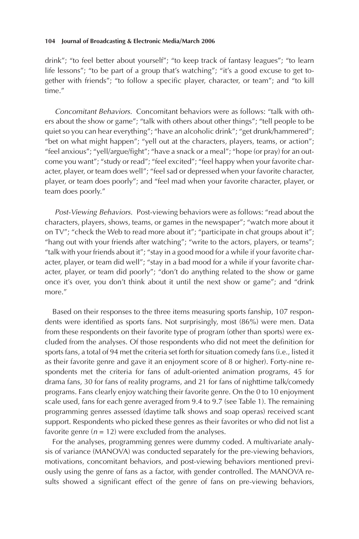drink"; "to feel better about yourself"; "to keep track of fantasy leagues"; "to learn life lessons"; "to be part of a group that's watching"; "it's a good excuse to get together with friends"; "to follow a specific player, character, or team"; and "to kill time."

Concomitant Behaviors. Concomitant behaviors were as follows: "talk with others about the show or game"; "talk with others about other things"; "tell people to be quiet so you can hear everything"; "have an alcoholic drink"; "get drunk/hammered"; "bet on what might happen"; "yell out at the characters, players, teams, or action"; "feel anxious"; "yell/argue/fight"; "have a snack or a meal"; "hope (or pray) for an outcome you want"; "study or read"; "feel excited"; "feel happy when your favorite character, player, or team does well"; "feel sad or depressed when your favorite character, player, or team does poorly"; and "feel mad when your favorite character, player, or team does poorly."

Post-Viewing Behaviors. Post-viewing behaviors were as follows: "read about the characters, players, shows, teams, or games in the newspaper"; "watch more about it on TV"; "check the Web to read more about it"; "participate in chat groups about it"; "hang out with your friends after watching"; "write to the actors, players, or teams"; "talk with your friends about it"; "stay in a good mood for a while if your favorite character, player, or team did well"; "stay in a bad mood for a while if your favorite character, player, or team did poorly"; "don't do anything related to the show or game once it's over, you don't think about it until the next show or game"; and "drink more."

Based on their responses to the three items measuring sports fanship, 107 respondents were identified as sports fans. Not surprisingly, most (86%) were men. Data from these respondents on their favorite type of program (other than sports) were excluded from the analyses. Of those respondents who did not meet the definition for sports fans, a total of 94 met the criteria set forth for situation comedy fans (i.e., listed it as their favorite genre and gave it an enjoyment score of 8 or higher). Forty-nine respondents met the criteria for fans of adult-oriented animation programs, 45 for drama fans, 30 for fans of reality programs, and 21 for fans of nighttime talk/comedy programs. Fans clearly enjoy watching their favorite genre. On the 0 to 10 enjoyment scale used, fans for each genre averaged from 9.4 to 9.7 (see Table 1). The remaining programming genres assessed (daytime talk shows and soap operas) received scant support. Respondents who picked these genres as their favorites or who did not list a favorite genre  $(n = 12)$  were excluded from the analyses.

For the analyses, programming genres were dummy coded. A multivariate analysis of variance (MANOVA) was conducted separately for the pre-viewing behaviors, motivations, concomitant behaviors, and post-viewing behaviors mentioned previously using the genre of fans as a factor, with gender controlled. The MANOVA results showed a significant effect of the genre of fans on pre-viewing behaviors,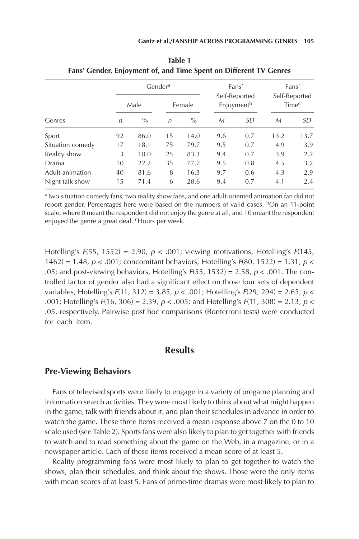|                  |            | Male | Gender <sup>a</sup> | Female |     | Fans'<br>Self-Reported<br>Enjoyment <sup>b</sup> | Fans'<br>Self-Reported<br><b>Time<sup>c</sup></b> |      |  |
|------------------|------------|------|---------------------|--------|-----|--------------------------------------------------|---------------------------------------------------|------|--|
| Genres           | $\sqrt{n}$ | $\%$ | $\sqrt{n}$          | $\%$   | M   | <i>SD</i>                                        | М                                                 | SD   |  |
| Sport            | 92         | 86.0 | 15                  | 14.0   | 9.6 | 0.7                                              | 13.2                                              | 13.7 |  |
| Situation comedy | 17         | 18.1 | 75                  | 79.7   | 9.5 | 0.7                                              | 4.9                                               | 3.9  |  |
| Reality show     | 3          | 10.0 | 25                  | 83.3   | 9.4 | 0.7                                              | 3.9                                               | 2.2  |  |
| Drama            | 10         | 22.2 | 35                  | 77.7   | 9.5 | 0.8                                              | 4.5                                               | 3.2  |  |
| Adult animation  | 40         | 81.6 | 8                   | 16.3   | 9.7 | 0.6                                              | 4.3                                               | 2.9  |  |
| Night talk show  | 15         | 71.4 | 6                   | 28.6   | 9.4 | 0.7                                              | 4.1                                               | 2.4  |  |

**Table 1 Fans' Gender, Enjoyment of, and Time Spent on Different TV Genres**

<sup>a</sup>Two situation comedy fans, two reality show fans, and one adult-oriented animation fan did not report gender. Percentages here were based on the numbers of valid cases. <sup>b</sup>On an 11-point scale, where 0 meant the respondent did not enjoy the genre at all, and 10 meant the respondent enjoyed the genre a great deal. <sup>c</sup>Hours per week.

Hotelling's  $F(55, 1552) = 2.90$ ,  $p < .001$ ; viewing motivations, Hotelling's  $F(145, 160)$ 1462) = 1.48,  $p < .001$ ; concomitant behaviors, Hotelling's  $F(80, 1522) = 1.31$ ,  $p <$ .05; and post-viewing behaviors, Hotelling's  $F(55, 1532) = 2.58$ ,  $p < .001$ . The controlled factor of gender also had a significant effect on those four sets of dependent variables, Hotelling's  $F(11, 312) = 3.85$ ,  $p < .001$ ; Hotelling's  $F(29, 294) = 2.65$ ,  $p < .001$ .001; Hotelling's  $F(16, 306) = 2.39$ ,  $p < .005$ ; and Hotelling's  $F(11, 308) = 2.13$ ,  $p < .001$ .05, respectively. Pairwise post hoc comparisons (Bonferroni tests) were conducted for each item.

# **Results**

### **Pre-Viewing Behaviors**

Fans of televised sports were likely to engage in a variety of pregame planning and information search activities. They were most likely to think about what might happen in the game, talk with friends about it, and plan their schedules in advance in order to watch the game. These three items received a mean response above 7 on the 0 to 10 scale used (see Table 2). Sports fans were also likely to plan to get together with friends to watch and to read something about the game on the Web, in a magazine, or in a newspaper article. Each of these items received a mean score of at least 5.

Reality programming fans were most likely to plan to get together to watch the shows, plan their schedules, and think about the shows. Those were the only items with mean scores of at least 5. Fans of prime-time dramas were most likely to plan to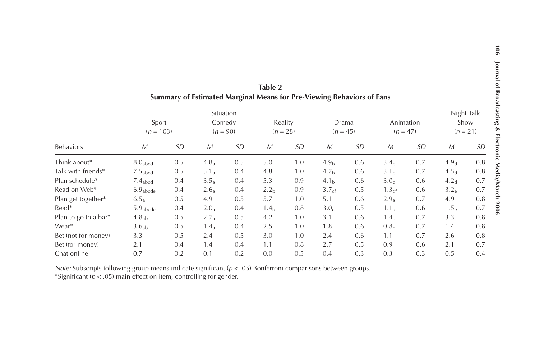|                      | Sport<br>$(n = 103)$ |           | Situation<br>Comedy<br>$(n = 90)$ |     | Table 2<br>Reality<br>$(n = 28)$ |     | Summary of Estimated Marginal Means for Pre-Viewing Behaviors of Fans<br>Drama<br>$(n = 45)$ |     | Animation<br>$(n = 47)$ |           | Night Talk<br>Show<br>$(n = 21)$ |           |
|----------------------|----------------------|-----------|-----------------------------------|-----|----------------------------------|-----|----------------------------------------------------------------------------------------------|-----|-------------------------|-----------|----------------------------------|-----------|
| <b>Behaviors</b>     | $\mathcal M$         | <b>SD</b> | $\mathcal M$                      | SD  | $\mathcal M$                     | SD  | $\mathcal M$                                                                                 | SD  | $\mathcal M$            | <b>SD</b> | $\mathcal M$                     | <b>SD</b> |
| Think about*         | 8.0 <sub>abcd</sub>  | 0.5       | 4.8 <sub>a</sub>                  | 0.5 | 5.0                              | 1.0 | 4.9 <sub>b</sub>                                                                             | 0.6 | 3.4 <sub>c</sub>        | 0.7       | 4.9 <sub>d</sub>                 | 0.8       |
| Talk with friends*   | 7.5 <sub>abcd</sub>  | 0.5       | $5.1_a$                           | 0.4 | 4.8                              | 1.0 | 4.7 <sub>b</sub>                                                                             | 0.6 | 3.1 <sub>c</sub>        | 0.7       | 4.5 <sub>d</sub>                 | 0.8       |
| Plan schedule*       | 7.4 <sub>abcd</sub>  | 0.4       | $3.5_a$                           | 0.4 | 5.3                              | 0.9 | 4.1 <sub>b</sub>                                                                             | 0.6 | 3.0 <sub>c</sub>        | 0.6       | 4.2 <sub>d</sub>                 | 0.7       |
| Read on Web*         | 6.9 <sub>abcde</sub> | 0.4       | 2.6 <sub>a</sub>                  | 0.4 | 2.2 <sub>b</sub>                 | 0.9 | 3.7 <sub>cf</sub>                                                                            | 0.5 | 1.3 <sub>df</sub>       | 0.6       | 3.2 <sub>e</sub>                 | 0.7       |
| Plan get together*   | $6.5_a$              | 0.5       | 4.9                               | 0.5 | 5.7                              | 1.0 | 5.1                                                                                          | 0.6 | 2.9 <sub>a</sub>        | 0.7       | 4.9                              | 0.8       |
| Read*                | 5.9 <sub>abcde</sub> | 0.4       | 2.0 <sub>a</sub>                  | 0.4 | 1.4 <sub>b</sub>                 | 0.8 | 3.0 <sub>c</sub>                                                                             | 0.5 | 1.1 <sub>d</sub>        | 0.6       | 1.5 <sub>e</sub>                 | 0.7       |
| Plan to go to a bar* | 4.8 <sub>ab</sub>    | 0.5       | $2.7_a$                           | 0.5 | 4.2                              | 1.0 | 3.1                                                                                          | 0.6 | 1.4 <sub>b</sub>        | 0.7       | 3.3                              | 0.8       |
| Wear*                | 3.6 <sub>ab</sub>    | 0.5       | $1.4_a$                           | 0.4 | 2.5                              | 1.0 | 1.8                                                                                          | 0.6 | 0.8 <sub>b</sub>        | 0.7       | 1.4                              | 0.8       |
| Bet (not for money)  | 3.3                  | 0.5       | 2.4                               | 0.5 | 3.0                              | 1.0 | 2.4                                                                                          | 0.6 | 1.1                     | 0.7       | 2.6                              | 0.8       |
| Bet (for money)      | 2.1                  | 0.4       | 1.4                               | 0.4 | 1.1                              | 0.8 | 2.7                                                                                          | 0.5 | 0.9                     | 0.6       | 2.1                              | 0.7       |
| Chat online          | 0.7                  | 0.2       | 0.1                               | 0.2 | 0.0                              | 0.5 | 0.4                                                                                          | 0.3 | 0.3                     | 0.3       | 0.5                              | 0.4       |

Note: Subscripts following group means indicate significant (p <sup>&</sup>lt; .05) Bonferroni comparisons between groups.

\*Significant ( $p < .05$ ) main effect on item, controlling for gender.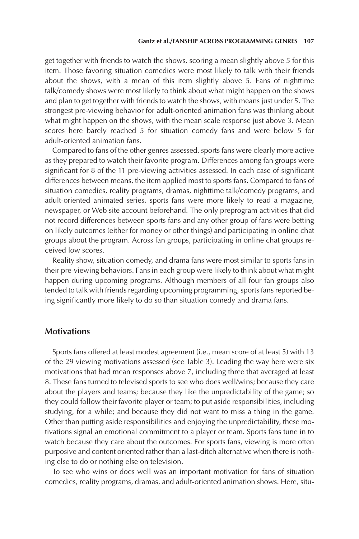get together with friends to watch the shows, scoring a mean slightly above 5 for this item. Those favoring situation comedies were most likely to talk with their friends about the shows, with a mean of this item slightly above 5. Fans of nighttime talk/comedy shows were most likely to think about what might happen on the shows and plan to get together with friends to watch the shows, with means just under 5. The strongest pre-viewing behavior for adult-oriented animation fans was thinking about what might happen on the shows, with the mean scale response just above 3. Mean scores here barely reached 5 for situation comedy fans and were below 5 for adult-oriented animation fans.

Compared to fans of the other genres assessed, sports fans were clearly more active as they prepared to watch their favorite program. Differences among fan groups were significant for 8 of the 11 pre-viewing activities assessed. In each case of significant differences between means, the item applied most to sports fans. Compared to fans of situation comedies, reality programs, dramas, nighttime talk/comedy programs, and adult-oriented animated series, sports fans were more likely to read a magazine, newspaper, or Web site account beforehand. The only preprogram activities that did not record differences between sports fans and any other group of fans were betting on likely outcomes (either for money or other things) and participating in online chat groups about the program. Across fan groups, participating in online chat groups received low scores.

Reality show, situation comedy, and drama fans were most similar to sports fans in their pre-viewing behaviors. Fans in each group were likely to think about what might happen during upcoming programs. Although members of all four fan groups also tended to talk with friends regarding upcoming programming, sports fans reported being significantly more likely to do so than situation comedy and drama fans.

# **Motivations**

Sports fans offered at least modest agreement (i.e., mean score of at least 5) with 13 of the 29 viewing motivations assessed (see Table 3). Leading the way here were six motivations that had mean responses above 7, including three that averaged at least 8. These fans turned to televised sports to see who does well/wins; because they care about the players and teams; because they like the unpredictability of the game; so they could follow their favorite player or team; to put aside responsibilities, including studying, for a while; and because they did not want to miss a thing in the game. Other than putting aside responsibilities and enjoying the unpredictability, these motivations signal an emotional commitment to a player or team. Sports fans tune in to watch because they care about the outcomes. For sports fans, viewing is more often purposive and content oriented rather than a last-ditch alternative when there is nothing else to do or nothing else on television.

To see who wins or does well was an important motivation for fans of situation comedies, reality programs, dramas, and adult-oriented animation shows. Here, situ-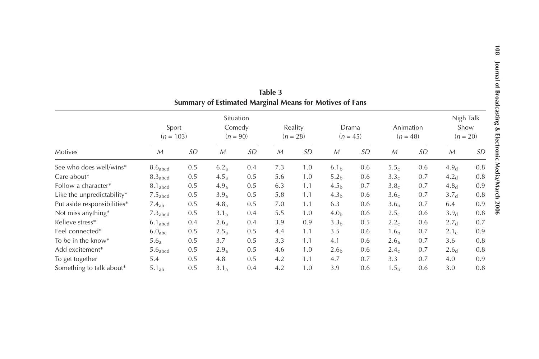|                             |                      |           | <b>Summary of Estimated Marginal Means for Motives of Fans</b><br>Situation |     | Table 3               |     |                     |     |                         |           |                    | Nigh Talk |
|-----------------------------|----------------------|-----------|-----------------------------------------------------------------------------|-----|-----------------------|-----|---------------------|-----|-------------------------|-----------|--------------------|-----------|
|                             | Sport<br>$(n = 103)$ |           | Comedy<br>$(n = 90)$                                                        |     | Reality<br>$(n = 28)$ |     | Drama<br>$(n = 45)$ |     | Animation<br>$(n = 48)$ |           | Show<br>$(n = 20)$ |           |
| Motives                     | M                    | <b>SD</b> | $\mathcal M$                                                                | SD  | $\mathcal M$          | SD  | $\mathcal M$        | SD  | $\mathcal M$            | <b>SD</b> | $\mathcal M$       | SD        |
| See who does well/wins*     | 8.6 <sub>abcd</sub>  | 0.5       | $6.2_a$                                                                     | 0.4 | 7.3                   | 1.0 | 6.1 <sub>b</sub>    | 0.6 | 5.5 <sub>c</sub>        | 0.6       | 4.9 <sub>d</sub>   | 0.8       |
| Care about*                 | 8.3 <sub>abcd</sub>  | 0.5       | 4.5 <sub>a</sub>                                                            | 0.5 | 5.6                   | 1.0 | 5.2 <sub>b</sub>    | 0.6 | 3.3 <sub>c</sub>        | 0.7       | 4.2 <sub>d</sub>   | 0.8       |
| Follow a character*         | 8.1 <sub>abcd</sub>  | 0.5       | 4.9 <sub>a</sub>                                                            | 0.5 | 6.3                   | 1.1 | 4.5 <sub>b</sub>    | 0.7 | 3.8 <sub>c</sub>        | 0.7       | 4.8 <sub>d</sub>   | 0.9       |
| Like the unpredictability*  | $7.5_{\rm abcd}$     | 0.5       | $3.9_a$                                                                     | 0.5 | 5.8                   | 1.1 | 4.3 <sub>b</sub>    | 0.6 | 3.6 <sub>c</sub>        | 0.7       | 3.7 <sub>d</sub>   | 0.8       |
| Put aside responsibilities* | $7.4_{ab}$           | 0.5       | 4.8 <sub>a</sub>                                                            | 0.5 | 7.0                   | 1.1 | 6.3                 | 0.6 | 3.6 <sub>b</sub>        | 0.7       | 6.4                | 0.9       |
| Not miss anything*          | 7.3 <sub>abcd</sub>  | 0.5       | $3.1_a$                                                                     | 0.4 | 5.5                   | 1.0 | 4.0 <sub>b</sub>    | 0.6 | 2.5 <sub>c</sub>        | 0.6       | 3.9 <sub>d</sub>   | 0.8       |
| Relieve stress*             | 6.1 <sub>abcd</sub>  | 0.4       | 2.6 <sub>a</sub>                                                            | 0.4 | 3.9                   | 0.9 | 3.3 <sub>b</sub>    | 0.5 | 2.2 <sub>c</sub>        | 0.6       | 2.7 <sub>d</sub>   | 0.7       |
| Feel connected*             | 6.0 <sub>abc</sub>   | 0.5       | $2.5_a$                                                                     | 0.5 | 4.4                   | 1.1 | 3.5                 | 0.6 | 1.6 <sub>b</sub>        | 0.7       | 2.1 <sub>c</sub>   | 0.9       |
| To be in the know*          | 5.6 <sub>a</sub>     | 0.5       | 3.7                                                                         | 0.5 | 3.3                   | 1.1 | 4.1                 | 0.6 | 2.6 <sub>a</sub>        | 0.7       | 3.6                | 0.8       |
| Add excitement*             | 5.6 <sub>abcd</sub>  | 0.5       | $2.9_a$                                                                     | 0.5 | 4.6                   | 1.0 | 2.6 <sub>b</sub>    | 0.6 | 2.4 <sub>c</sub>        | 0.7       | 2.6 <sub>d</sub>   | 0.8       |
| To get together             | 5.4                  | 0.5       | 4.8                                                                         | 0.5 | 4.2                   | 1.1 | 4.7                 | 0.7 | 3.3                     | 0.7       | 4.0                | 0.9       |
| Something to talk about*    | 5.1 <sub>ab</sub>    | 0.5       | $3.1_a$                                                                     | 0.4 | 4.2                   | 1.0 | 3.9                 | 0.6 | 1.5 <sub>h</sub>        | 0.6       | 3.0                | 0.8       |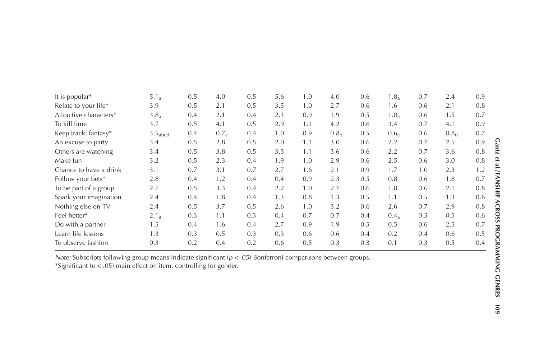| It is popular*         | $5.1_a$             | 0.5 | 4.0     | 0.5 | 5.6 | 1.0 | 4.0              | 0.6 | 1.8 <sub>a</sub> | 0.7 | 2.4              | 0.9 |
|------------------------|---------------------|-----|---------|-----|-----|-----|------------------|-----|------------------|-----|------------------|-----|
| Relate to your life*   | 3.9                 | 0.5 | 2.1     | 0.5 | 3.5 | 1.0 | 2.7              | 0.6 | 1.6              | 0.6 | 2.1              | 0.8 |
| Attractive characters* | 3.8 <sub>a</sub>    | 0.4 | 2.1     | 0.4 | 2.1 | 0.9 | 1.9              | 0.5 | 1.0 <sub>a</sub> | 0.6 | 1.5              | 0.7 |
| To kill time           | 3.7                 | 0.5 | 4.1     | 0.5 | 2.9 | 1.1 | 4.2              | 0.6 | 3.4              | 0.7 | 4.1              | 0.9 |
| Keep track: fantasy*   | 3.5 <sub>abcd</sub> | 0.4 | $0.7_a$ | 0.4 | 1.0 | 0.9 | 0.8 <sub>b</sub> | 0.5 | 0.6 <sub>c</sub> | 0.6 | 0.8 <sub>d</sub> | 0.7 |
| An excuse to party     | 3.4                 | 0.5 | 2.8     | 0.5 | 2.0 | 1.1 | 3.0              | 0.6 | 2.2              | 0.7 | 2.5              | 0.9 |
| Others are watching    | 3.4                 | 0.5 | 3.8     | 0.5 | 3.3 | 1.1 | 3.6              | 0.6 | 2.2              | 0.7 | 3.6              | 0.8 |
| Make fun               | 3.2                 | 0.5 | 2.3     | 0.4 | 1.9 | 1.0 | 2.9              | 0.6 | 2.5              | 0.6 | 3.0              | 0.8 |
| Chance to have a drink | 3.1                 | 0.7 | 3.1     | 0.7 | 2.7 | 1.6 | 2.1              | 0.9 | 1.7              | 1.0 | 2.3              | 1.2 |
| Follow your bets*      | 2.8                 | 0.4 | 1.2     | 0.4 | 0.4 | 0.9 | 2.3              | 0.5 | 0.8              | 0.6 | 1.8              | 0.7 |
| To be part of a group  | 2.7                 | 0.5 | 3.3     | 0.4 | 2.2 | 1.0 | 2.7              | 0.6 | 1.8              | 0.6 | 2.1              | 0.8 |
| Spark your imagination | 2.4                 | 0.4 | 1.8     | 0.4 | 1.3 | 0.8 | 1.3              | 0.5 | 1.1              | 0.5 | 1.3              | 0.6 |
| Nothing else on TV     | 2.4                 | 0.5 | 3.7     | 0.5 | 2.6 | 1.0 | 3.2              | 0.6 | 2.6              | 0.7 | 2.9              | 0.8 |
| Feel better*           | 2.1 <sub>a</sub>    | 0.3 | 1.1     | 0.3 | 0.4 | 0.7 | 0.7              | 0.4 | 0.4 <sub>a</sub> | 0.5 | 0.5              | 0.6 |
| Do with a partner      | 1.5                 | 0.4 | 1.6     | 0.4 | 2.7 | 0.9 | 1.9              | 0.5 | 0.5              | 0.6 | 2.5              | 0.7 |
| Learn life lessons     | 1.3                 | 0.3 | 0.5     | 0.3 | 0.3 | 0.6 | 0.6              | 0.4 | 0.2              | 0.4 | 0.6              | 0.5 |
| To observe fashion     | 0.3                 | 0.2 | 0.4     | 0.2 | 0.6 | 0.5 | 0.3              | 0.3 | 0.1              | 0.3 | 0.5              | 0.4 |

*Note:* Subscripts following group means indicate significant ( $p < .05$ ) Bonferroni comparisons between groups.

\*Significant ( $p < .05$ ) main effect on item, controlling for gender.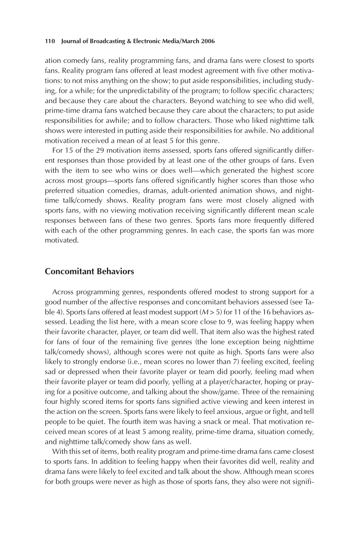ation comedy fans, reality programming fans, and drama fans were closest to sports fans. Reality program fans offered at least modest agreement with five other motivations: to not miss anything on the show; to put aside responsibilities, including studying, for a while; for the unpredictability of the program; to follow specific characters; and because they care about the characters. Beyond watching to see who did well, prime-time drama fans watched because they care about the characters; to put aside responsibilities for awhile; and to follow characters. Those who liked nighttime talk shows were interested in putting aside their responsibilities for awhile. No additional motivation received a mean of at least 5 for this genre.

For 15 of the 29 motivation items assessed, sports fans offered significantly different responses than those provided by at least one of the other groups of fans. Even with the item to see who wins or does well—which generated the highest score across most groups—sports fans offered significantly higher scores than those who preferred situation comedies, dramas, adult-oriented animation shows, and nighttime talk/comedy shows. Reality program fans were most closely aligned with sports fans, with no viewing motivation receiving significantly different mean scale responses between fans of these two genres. Sports fans more frequently differed with each of the other programming genres. In each case, the sports fan was more motivated.

# **Concomitant Behaviors**

Across programming genres, respondents offered modest to strong support for a good number of the affective responses and concomitant behaviors assessed (see Table 4). Sports fans offered at least modest support  $(M > 5)$  for 11 of the 16 behaviors assessed. Leading the list here, with a mean score close to 9, was feeling happy when their favorite character, player, or team did well. That item also was the highest rated for fans of four of the remaining five genres (the lone exception being nighttime talk/comedy shows), although scores were not quite as high. Sports fans were also likely to strongly endorse (i.e., mean scores no lower than 7) feeling excited, feeling sad or depressed when their favorite player or team did poorly, feeling mad when their favorite player or team did poorly, yelling at a player/character, hoping or praying for a positive outcome, and talking about the show/game. Three of the remaining four highly scored items for sports fans signified active viewing and keen interest in the action on the screen. Sports fans were likely to feel anxious, argue or fight, and tell people to be quiet. The fourth item was having a snack or meal. That motivation received mean scores of at least 5 among reality, prime-time drama, situation comedy, and nighttime talk/comedy show fans as well.

With this set of items, both reality program and prime-time drama fans came closest to sports fans. In addition to feeling happy when their favorites did well, reality and drama fans were likely to feel excited and talk about the show. Although mean scores for both groups were never as high as those of sports fans, they also were not signifi-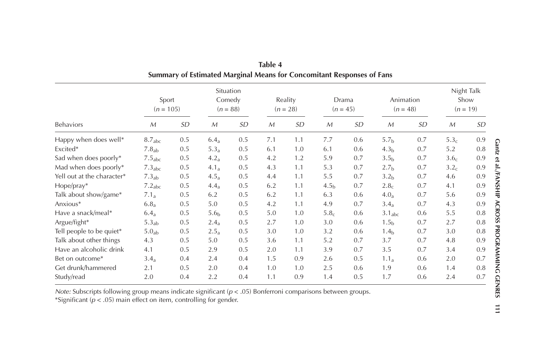|                            | Sport<br>$(n = 105)$ |     | Situation<br>Comedy<br>$(n = 88)$ |     | Reality<br>$(n = 28)$ |     | Drama<br>$(n = 45)$ |           | Animation<br>$(n = 48)$ |           | Night Talk<br>Show<br>$(n = 19)$ |     |
|----------------------------|----------------------|-----|-----------------------------------|-----|-----------------------|-----|---------------------|-----------|-------------------------|-----------|----------------------------------|-----|
| <b>Behaviors</b>           | $\mathcal M$         | SD  | $\mathcal M$                      | SD  | $\mathcal M$          | SD  | $\mathcal M$        | <b>SD</b> | $\mathcal M$            | <b>SD</b> | М                                | SD  |
| Happy when does well*      | 8.7 <sub>abc</sub>   | 0.5 | 6.4 <sub>a</sub>                  | 0.5 | 7.1                   | 1.1 | 7.7                 | 0.6       | 5.7 <sub>b</sub>        | 0.7       | 5.3 <sub>c</sub>                 | 0.9 |
| Excited*                   | $7.8_{ab}$           | 0.5 | $5.3_a$                           | 0.5 | 6.1                   | 1.0 | 6.1                 | 0.6       | 4.3 <sub>b</sub>        | 0.7       | 5.2                              | 0.8 |
| Sad when does poorly*      | 7.5 <sub>abc</sub>   | 0.5 | 4.2 <sub>a</sub>                  | 0.5 | 4.2                   | 1.2 | 5.9                 | 0.7       | 3.5 <sub>b</sub>        | 0.7       | 3.6 <sub>c</sub>                 | 0.9 |
| Mad when does poorly*      | 7.3 <sub>abc</sub>   | 0.5 | 4.1 <sub>a</sub>                  | 0.5 | 4.3                   | 1.1 | 5.3                 | 0.7       | 2.7 <sub>b</sub>        | 0.7       | 3.2 <sub>c</sub>                 | 0.9 |
| Yell out at the character* | 7.3 <sub>ab</sub>    | 0.5 | $4.5_a$                           | 0.5 | 4.4                   | 1.1 | 5.5                 | 0.7       | 3.2 <sub>b</sub>        | 0.7       | 4.6                              | 0.9 |
| $Hope/pray*$               | 7.2 <sub>abc</sub>   | 0.5 | 4.4 <sub>a</sub>                  | 0.5 | 6.2                   | 1.1 | 4.5 <sub>b</sub>    | 0.7       | 2.8 <sub>c</sub>        | 0.7       | 4.1                              | 0.9 |
| Talk about show/game*      | $7.1_a$              | 0.5 | 6.2                               | 0.5 | 6.2                   | 1.1 | 6.3                 | 0.6       | 4.0 <sub>a</sub>        | 0.7       | 5.6                              | 0.9 |
| Anxious*                   | $6.8_a$              | 0.5 | 5.0                               | 0.5 | 4.2                   | 1.1 | 4.9                 | 0.7       | $3.4_a$                 | 0.7       | 4.3                              | 0.9 |
| Have a snack/meal*         | $6.4_a$              | 0.5 | 5.6 <sub>b</sub>                  | 0.5 | 5.0                   | 1.0 | 5.8 <sub>c</sub>    | 0.6       | 3.1 <sub>abc</sub>      | 0.6       | 5.5                              | 0.8 |
| Argue/fight*               | 5.3 <sub>ab</sub>    | 0.5 | 2.4 <sub>a</sub>                  | 0.5 | 2.7                   | 1.0 | 3.0                 | 0.6       | 1.5 <sub>b</sub>        | 0.7       | 2.7                              | 0.8 |
| Tell people to be quiet*   | 5.0 <sub>ab</sub>    | 0.5 | $2.5_a$                           | 0.5 | 3.0                   | 1.0 | 3.2                 | 0.6       | 1.4 <sub>h</sub>        | 0.7       | 3.0                              | 0.8 |
| Talk about other things    | 4.3                  | 0.5 | 5.0                               | 0.5 | 3.6                   | 1.1 | 5.2                 | 0.7       | 3.7                     | 0.7       | 4.8                              | 0.9 |
| Have an alcoholic drink    | 4.1                  | 0.5 | 2.9                               | 0.5 | 2.0                   | 1.1 | 3.9                 | 0.7       | 3.5                     | 0.7       | 3.4                              | 0.9 |
| Bet on outcome*            | $3.4_a$              | 0.4 | 2.4                               | 0.4 | 1.5                   | 0.9 | 2.6                 | 0.5       | $1.1_a$                 | 0.6       | 2.0                              | 0.7 |
| Get drunk/hammered         | 2.1                  | 0.5 | 2.0                               | 0.4 | 1.0                   | 1.0 | 2.5                 | 0.6       | 1.9                     | 0.6       | 1.4                              | 0.8 |
| Study/read                 | 2.0                  | 0.4 | 2.2                               | 0.4 | 1.1                   | 0.9 | 1.4                 | 0.5       | 1.7                     | 0.6       | 2.4                              | 0.7 |
|                            |                      |     |                                   |     |                       |     |                     |           |                         |           |                                  |     |

**Table 4Summary of Estimated Marginal Means for Concomitant Responses of Fans**

Note: Subscripts following group means indicate significant (p <sup>&</sup>lt; .05) Bonferroni comparisons between groups.

\*Significant ( $p < .05$ ) main effect on item, controlling for gender.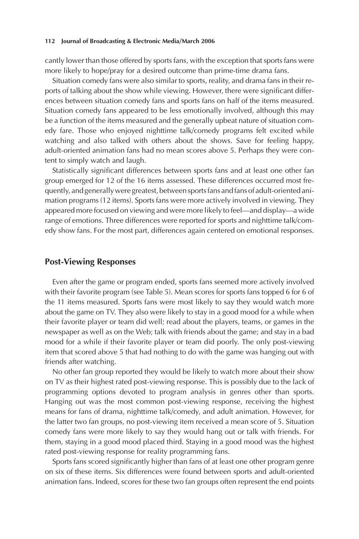cantly lower than those offered by sports fans, with the exception that sports fans were more likely to hope/pray for a desired outcome than prime-time drama fans.

Situation comedy fans were also similar to sports, reality, and drama fans in their reports of talking about the show while viewing. However, there were significant differences between situation comedy fans and sports fans on half of the items measured. Situation comedy fans appeared to be less emotionally involved, although this may be a function of the items measured and the generally upbeat nature of situation comedy fare. Those who enjoyed nighttime talk/comedy programs felt excited while watching and also talked with others about the shows. Save for feeling happy, adult-oriented animation fans had no mean scores above 5. Perhaps they were content to simply watch and laugh.

Statistically significant differences between sports fans and at least one other fan group emerged for 12 of the 16 items assessed. These differences occurred most frequently, and generally were greatest, between sports fans and fans of adult-oriented animation programs (12 items). Sports fans were more actively involved in viewing. They appeared more focused on viewing and were more likely to feel—and display—a wide range of emotions. Three differences were reported for sports and nighttime talk/comedy show fans. For the most part, differences again centered on emotional responses.

### **Post-Viewing Responses**

Even after the game or program ended, sports fans seemed more actively involved with their favorite program (see Table 5). Mean scores for sports fans topped 6 for 6 of the 11 items measured. Sports fans were most likely to say they would watch more about the game on TV. They also were likely to stay in a good mood for a while when their favorite player or team did well; read about the players, teams, or games in the newspaper as well as on the Web; talk with friends about the game; and stay in a bad mood for a while if their favorite player or team did poorly. The only post-viewing item that scored above 5 that had nothing to do with the game was hanging out with friends after watching.

No other fan group reported they would be likely to watch more about their show on TV as their highest rated post-viewing response. This is possibly due to the lack of programming options devoted to program analysis in genres other than sports. Hanging out was the most common post-viewing response, receiving the highest means for fans of drama, nighttime talk/comedy, and adult animation. However, for the latter two fan groups, no post-viewing item received a mean score of 5. Situation comedy fans were more likely to say they would hang out or talk with friends. For them, staying in a good mood placed third. Staying in a good mood was the highest rated post-viewing response for reality programming fans.

Sports fans scored significantly higher than fans of at least one other program genre on six of these items. Six differences were found between sports and adult-oriented animation fans. Indeed, scores for these two fan groups often represent the end points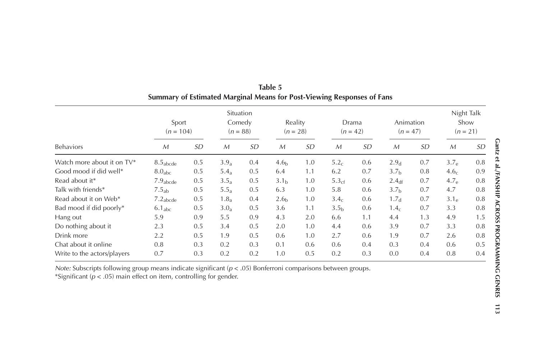|                             | Sport<br>$(n = 104)$ |     | Situation<br>Comedy<br>$(n = 88)$ |           | Reality<br>$(n = 28)$ |           | Drama<br>$(n = 42)$ |           | Animation<br>$(n = 47)$ |           | Night Talk<br>Show<br>$(n = 21)$ |           |
|-----------------------------|----------------------|-----|-----------------------------------|-----------|-----------------------|-----------|---------------------|-----------|-------------------------|-----------|----------------------------------|-----------|
| <b>Behaviors</b>            | $\mathcal M$         | SD  | $\mathcal M$                      | <b>SD</b> | $\mathcal M$          | <b>SD</b> | $\mathcal M$        | <b>SD</b> | $\mathcal M$            | <b>SD</b> | $\mathcal M$                     | <i>SD</i> |
| Watch more about it on TV*  | 8.5 <sub>abcde</sub> | 0.5 | 3.9 <sub>a</sub>                  | 0.4       | 4.6 <sub>b</sub>      | 1.0       | 5.2 <sub>c</sub>    | 0.6       | 2.9 <sub>d</sub>        | 0.7       | 3.7 <sub>e</sub>                 | 0.8       |
| Good mood if did well*      | 8.0 <sub>abc</sub>   | 0.5 | 5.4 <sub>a</sub>                  | 0.5       | 6.4                   | 1.1       | 6.2                 | 0.7       | 3.7 <sub>h</sub>        | 0.8       | 4.6 <sub>c</sub>                 | 0.9       |
| Read about it*              | 7.9 <sub>abcde</sub> | 0.5 | 3.5 <sub>a</sub>                  | 0.5       | 3.1 <sub>b</sub>      | 1.0       | 5.3 <sub>cf</sub>   | 0.6       | 2.4 <sub>df</sub>       | 0.7       | 4.7 <sub>e</sub>                 | 0.8       |
| Talk with friends*          | 7.5 <sub>ab</sub>    | 0.5 | $5.5_a$                           | 0.5       | 6.3                   | 1.0       | 5.8                 | 0.6       | 3.7 <sub>b</sub>        | 0.7       | 4.7                              | 0.8       |
| Read about it on Web*       | 7.2 <sub>abcde</sub> | 0.5 | $1.8_a$                           | 0.4       | 2.6 <sub>b</sub>      | 1.0       | 3.4 <sub>c</sub>    | 0.6       | 1.7 <sub>d</sub>        | 0.7       | 3.1 <sub>e</sub>                 | 0.8       |
| Bad mood if did poorly*     | 6.1 <sub>abc</sub>   | 0.5 | 3.0 <sub>a</sub>                  | 0.5       | 3.6                   | 1.1       | 3.5 <sub>b</sub>    | 0.6       | 1.4 <sub>c</sub>        | 0.7       | 3.3                              | 0.8       |
| Hang out                    | 5.9                  | 0.9 | 5.5                               | 0.9       | 4.3                   | 2.0       | 6.6                 | 1.1       | 4.4                     | 1.3       | 4.9                              | 1.5       |
| Do nothing about it         | 2.3                  | 0.5 | 3.4                               | 0.5       | 2.0                   | 1.0       | 4.4                 | 0.6       | 3.9                     | 0.7       | 3.3                              | 0.8       |
| Drink more                  | 2.2                  | 0.5 | 1.9                               | 0.5       | 0.6                   | 1.0       | 2.7                 | 0.6       | 1.9                     | 0.7       | 2.6                              | 0.8       |
| Chat about it online        | 0.8                  | 0.3 | 0.2                               | 0.3       | 0.1                   | 0.6       | 0.6                 | 0.4       | 0.3                     | 0.4       | 0.6                              | 0.5       |
| Write to the actors/players | 0.7                  | 0.3 | 0.2                               | 0.2       | 1.0                   | 0.5       | 0.2                 | 0.3       | 0.0                     | 0.4       | 0.8                              | 0.4       |

**Table 5Summary of Estimated Marginal Means for Post-Viewing Responses of Fans**

Note: Subscripts following group means indicate significant (p <sup>&</sup>lt; .05) Bonferroni comparisons between groups.

\*Significant ( $p < .05$ ) main effect on item, controlling for gender.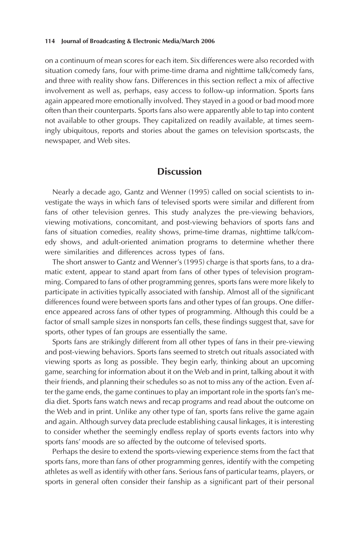on a continuum of mean scores for each item. Six differences were also recorded with situation comedy fans, four with prime-time drama and nighttime talk/comedy fans, and three with reality show fans. Differences in this section reflect a mix of affective involvement as well as, perhaps, easy access to follow-up information. Sports fans again appeared more emotionally involved. They stayed in a good or bad mood more often than their counterparts. Sports fans also were apparently able to tap into content not available to other groups. They capitalized on readily available, at times seemingly ubiquitous, reports and stories about the games on television sportscasts, the newspaper, and Web sites.

# **Discussion**

Nearly a decade ago, Gantz and Wenner (1995) called on social scientists to investigate the ways in which fans of televised sports were similar and different from fans of other television genres. This study analyzes the pre-viewing behaviors, viewing motivations, concomitant, and post-viewing behaviors of sports fans and fans of situation comedies, reality shows, prime-time dramas, nighttime talk/comedy shows, and adult-oriented animation programs to determine whether there were similarities and differences across types of fans.

The short answer to Gantz and Wenner's (1995) charge is that sports fans, to a dramatic extent, appear to stand apart from fans of other types of television programming. Compared to fans of other programming genres, sports fans were more likely to participate in activities typically associated with fanship. Almost all of the significant differences found were between sports fans and other types of fan groups. One difference appeared across fans of other types of programming. Although this could be a factor of small sample sizes in nonsports fan cells, these findings suggest that, save for sports, other types of fan groups are essentially the same.

Sports fans are strikingly different from all other types of fans in their pre-viewing and post-viewing behaviors. Sports fans seemed to stretch out rituals associated with viewing sports as long as possible. They begin early, thinking about an upcoming game, searching for information about it on the Web and in print, talking about it with their friends, and planning their schedules so as not to miss any of the action. Even after the game ends, the game continues to play an important role in the sports fan's media diet. Sports fans watch news and recap programs and read about the outcome on the Web and in print. Unlike any other type of fan, sports fans relive the game again and again. Although survey data preclude establishing causal linkages, it is interesting to consider whether the seemingly endless replay of sports events factors into why sports fans' moods are so affected by the outcome of televised sports.

Perhaps the desire to extend the sports-viewing experience stems from the fact that sports fans, more than fans of other programming genres, identify with the competing athletes as well as identify with other fans. Serious fans of particular teams, players, or sports in general often consider their fanship as a significant part of their personal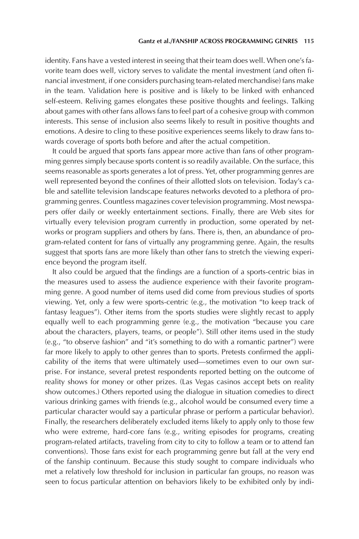identity. Fans have a vested interest in seeing that their team does well. When one's favorite team does well, victory serves to validate the mental investment (and often financial investment, if one considers purchasing team-related merchandise) fans make in the team. Validation here is positive and is likely to be linked with enhanced self-esteem. Reliving games elongates these positive thoughts and feelings. Talking about games with other fans allows fans to feel part of a cohesive group with common interests. This sense of inclusion also seems likely to result in positive thoughts and emotions. A desire to cling to these positive experiences seems likely to draw fans towards coverage of sports both before and after the actual competition.

It could be argued that sports fans appear more active than fans of other programming genres simply because sports content is so readily available. On the surface, this seems reasonable as sports generates a lot of press. Yet, other programming genres are well represented beyond the confines of their allotted slots on television. Today's cable and satellite television landscape features networks devoted to a plethora of programming genres. Countless magazines cover television programming. Most newspapers offer daily or weekly entertainment sections. Finally, there are Web sites for virtually every television program currently in production, some operated by networks or program suppliers and others by fans. There is, then, an abundance of program-related content for fans of virtually any programming genre. Again, the results suggest that sports fans are more likely than other fans to stretch the viewing experience beyond the program itself.

It also could be argued that the findings are a function of a sports-centric bias in the measures used to assess the audience experience with their favorite programming genre. A good number of items used did come from previous studies of sports viewing. Yet, only a few were sports-centric (e.g., the motivation "to keep track of fantasy leagues"). Other items from the sports studies were slightly recast to apply equally well to each programming genre (e.g., the motivation "because you care about the characters, players, teams, or people"). Still other items used in the study (e.g., "to observe fashion" and "it's something to do with a romantic partner") were far more likely to apply to other genres than to sports. Pretests confirmed the applicability of the items that were ultimately used—sometimes even to our own surprise. For instance, several pretest respondents reported betting on the outcome of reality shows for money or other prizes. (Las Vegas casinos accept bets on reality show outcomes.) Others reported using the dialogue in situation comedies to direct various drinking games with friends (e.g., alcohol would be consumed every time a particular character would say a particular phrase or perform a particular behavior). Finally, the researchers deliberately excluded items likely to apply only to those few who were extreme, hard-core fans (e.g., writing episodes for programs, creating program-related artifacts, traveling from city to city to follow a team or to attend fan conventions). Those fans exist for each programming genre but fall at the very end of the fanship continuum. Because this study sought to compare individuals who met a relatively low threshold for inclusion in particular fan groups, no reason was seen to focus particular attention on behaviors likely to be exhibited only by indi-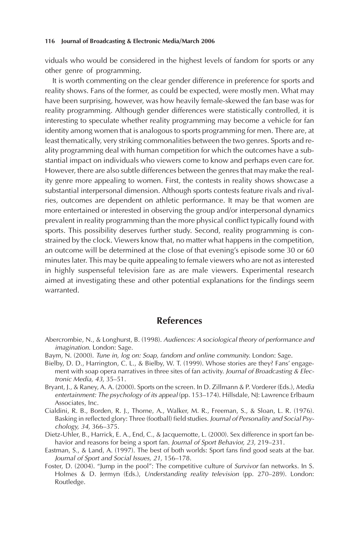viduals who would be considered in the highest levels of fandom for sports or any other genre of programming.

It is worth commenting on the clear gender difference in preference for sports and reality shows. Fans of the former, as could be expected, were mostly men. What may have been surprising, however, was how heavily female-skewed the fan base was for reality programming. Although gender differences were statistically controlled, it is interesting to speculate whether reality programming may become a vehicle for fan identity among women that is analogous to sports programming for men. There are, at least thematically, very striking commonalities between the two genres. Sports and reality programming deal with human competition for which the outcomes have a substantial impact on individuals who viewers come to know and perhaps even care for. However, there are also subtle differences between the genres that may make the reality genre more appealing to women. First, the contests in reality shows showcase a substantial interpersonal dimension. Although sports contests feature rivals and rivalries, outcomes are dependent on athletic performance. It may be that women are more entertained or interested in observing the group and/or interpersonal dynamics prevalent in reality programming than the more physical conflict typically found with sports. This possibility deserves further study. Second, reality programming is constrained by the clock. Viewers know that, no matter what happens in the competition, an outcome will be determined at the close of that evening's episode some 30 or 60 minutes later. This may be quite appealing to female viewers who are not as interested in highly suspenseful television fare as are male viewers. Experimental research aimed at investigating these and other potential explanations for the findings seem warranted.

# **References**

- Abercrombie, N., & Longhurst, B. (1998). Audiences: <sup>A</sup> sociological theory of performance and imagination. London: Sage.
- Baym, N. (2000). Tune in, log on: Soap, fandom and online community. London: Sage.
- Bielby, D. D., Harrington, C. L., & Bielby, W. T. (1999). Whose stories are they? Fans' engagement with soap opera narratives in three sites of fan activity. Journal of Broadcasting  $&$  Electronic Media, 43, 35–51.
- Bryant, J., & Raney, A. A. (2000). Sports on the screen. In D. Zillmann & P. Vorderer (Eds.), Media entertainment: The psychology of its appeal (pp. 153–174). Hillsdale, NJ: Lawrence Erlbaum Associates, Inc.
- Cialdini, R. B., Borden, R. J., Thorne, A., Walker, M. R., Freeman, S., & Sloan, L. R. (1976). Basking in reflected glory: Three (football) field studies. Journal of Personality and Social Psychology, 34, 366–375.
- Dietz-Uhler, B., Harrick, E. A., End, C., & Jacquemotte, L. (2000). Sex difference in sport fan behavior and reasons for being a sport fan. Journal of Sport Behavior, 23, 219–231.
- Eastman, S., & Land, A. (1997). The best of both worlds: Sport fans find good seats at the bar. Journal of Sport and Social Issues, 21, 156–178.
- Foster, D. (2004). "Jump in the pool": The competitive culture of Survivor fan networks. In S. Holmes & D. Jermyn (Eds.), Understanding reality television (pp. 270–289). London: Routledge.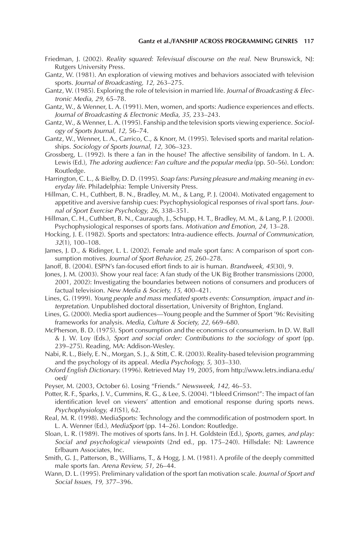- Friedman, J. (2002). Reality squared: Televisual discourse on the real. New Brunswick, NJ: Rutgers University Press.
- Gantz, W. (1981). An exploration of viewing motives and behaviors associated with television sports. Journal of Broadcasting, 12, 263–275.
- Gantz, W. (1985). Exploring the role of television in married life. Journal of Broadcasting & Electronic Media, 29, 65–78.
- Gantz, W., & Wenner, L. A. (1991). Men, women, and sports: Audience experiences and effects. Journal of Broadcasting & Electronic Media, 35, 233–243.
- Gantz, W., & Wenner, L. A. (1995). Fanship and the television sports viewing experience. Sociology of Sports Journal, 12, 56–74.
- Gantz, W., Wenner, L. A., Carrico, C., & Knorr, M. (1995). Televised sports and marital relationships. Sociology of Sports Journal, 12, 306–323.
- Grossberg, L. (1992). Is there a fan in the house? The affective sensibility of fandom. In L. A. Lewis (Ed.), The adoring audience: Fan culture and the popular media (pp. 50–56). London: Routledge.
- Harrington, C. L., & Bielby, D. D. (1995). Soap fans: Pursing pleasure and making meaning in everyday life. Philadelphia: Temple University Press.
- Hillman, C. H., Cuthbert, B. N., Bradley, M. M., & Lang, P. J. (2004). Motivated engagement to appetitive and aversive fanship cues: Psychophysiological responses of rival sport fans. Journal of Sport Exercise Psychology, 26, 338–351.
- Hillman, C. H., Cuthbert, B. N., Cauraugh, J., Schupp, H. T., Bradley, M. M., & Lang, P. J. (2000). Psychophysiological responses of sports fans. Motivation and Emotion, 24, 13–28.
- Hocking, J. E. (1982). Sports and spectators: Intra-audience effects. Journal of Communication, <sup>32</sup>(1), 100–108.
- James, J. D., & Ridinger, L. L. (2002). Female and male sport fans: A comparison of sport consumption motives. Journal of Sport Behavior, 25, 260–278.
- Janoff, B. (2004). ESPN's fan-focused effort finds to air is human. Brandweek, 45(30), 9.
- Jones, J. M. (2003). Show your real face: A fan study of the UK Big Brother transmissions (2000, 2001, 2002): Investigating the boundaries between notions of consumers and producers of factual television. New Media & Society, 15, 400–421.
- Lines, G. (1999). Young people and mass mediated sports events: Consumption, impact and interpretation. Unpublished doctoral dissertation, University of Brighton, England.
- Lines, G. (2000). Media sport audiences—Young people and the Summer of Sport '96: Revisiting frameworks for analysis. Media, Culture & Society, 22, 669–680.
- McPherson, B. D. (1975). Sport consumption and the economics of consumerism. In D. W. Ball & J. W. Loy (Eds.), Sport and social order: Contributions to the sociology of sport (pp. 239–275). Reading, MA: Addison-Wesley.
- Nabi, R. L., Biely, E. N., Morgan, S. J., & Stitt, C. R. (2003). Reality-based television programming and the psychology of its appeal. Media Psychology, 5, 303–330.
- Oxford English Dictionary. (1996). Retrieved May 19, 2005, from http://www.letrs.indiana.edu/ oed/
- Peyser, M. (2003, October 6). Losing "Friends." Newsweek, 142, 46–53.
- Potter, R. F., Sparks, J. V., Cummins, R. G., & Lee, S. (2004). "I bleed Crimson!": The impact of fan identification level on viewers' attention and emotional response during sports news. Psychophysiology, 41(S1), 62.
- Real, M. R. (1998). MediaSports: Technology and the commodification of postmodern sport. In L. A. Wenner (Ed.), MediaSport (pp. 14-26). London: Routledge.
- Sloan, L. R. (1989). The motives of sports fans. In J. H. Goldstein (Ed.), Sports, games, and play: Social and psychological viewpoints (2nd ed., pp. 175–240). Hillsdale: NJ: Lawrence Erlbaum Associates, Inc.
- Smith, G. J., Patterson, B., Williams, T., & Hogg, J. M. (1981). A profile of the deeply committed male sports fan. Arena Review, 51, 26–44.
- Wann, D. L. (1995). Preliminary validation of the sport fan motivation scale. *Journal of Sport and* Social Issues, 19, 377–396.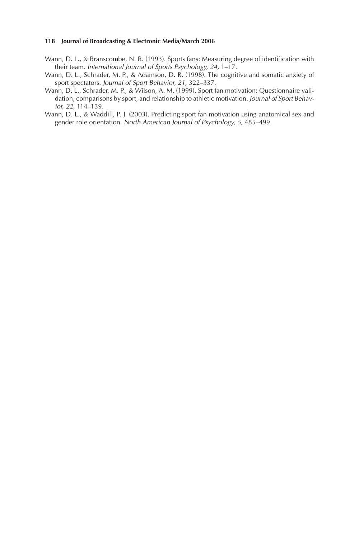- Wann, D. L., & Branscombe, N. R. (1993). Sports fans: Measuring degree of identification with their team. International Journal of Sports Psychology, 24, 1–17.
- Wann, D. L., Schrader, M. P., & Adamson, D. R. (1998). The cognitive and somatic anxiety of sport spectators. Journal of Sport Behavior, 21, 322–337.
- Wann, D. L., Schrader, M. P., & Wilson, A. M. (1999). Sport fan motivation: Questionnaire validation, comparisons by sport, and relationship to athletic motivation. Journal of Sport Behavior, 22, 114–139.
- Wann, D. L., & Waddill, P. J. (2003). Predicting sport fan motivation using anatomical sex and gender role orientation. North American Journal of Psychology, 5, 485–499.